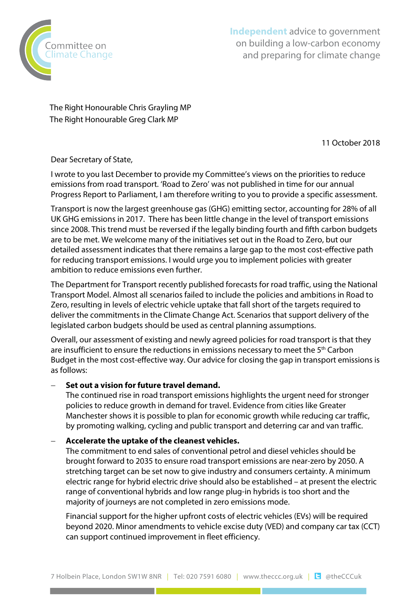

**Independent** advice to government on building a low-carbon economy and preparing for climate change

The Right Honourable Chris Grayling MP The Right Honourable Greg Clark MP

11 October 2018

Dear Secretary of State,

I wrote to you last December to provide my Committee's views on the priorities to reduce emissions from road transport. 'Road to Zero' was not published in time for our annual Progress Report to Parliament, I am therefore writing to you to provide a specific assessment.

Transport is now the largest greenhouse gas (GHG) emitting sector, accounting for 28% of all UK GHG emissions in 2017. There has been little change in the level of transport emissions since 2008. This trend must be reversed if the legally binding fourth and fifth carbon budgets are to be met. We welcome many of the initiatives set out in the Road to Zero, but our detailed assessment indicates that there remains a large gap to the most cost-effective path for reducing transport emissions. I would urge you to implement policies with greater ambition to reduce emissions even further.

The Department for Transport recently published forecasts for road traffic, using the National Transport Model. Almost all scenarios failed to include the policies and ambitions in Road to Zero, resulting in levels of electric vehicle uptake that fall short of the targets required to deliver the commitments in the Climate Change Act. Scenarios that support delivery of the legislated carbon budgets should be used as central planning assumptions.

Overall, our assessment of existing and newly agreed policies for road transport is that they are insufficient to ensure the reductions in emissions necessary to meet the  $5<sup>th</sup>$  Carbon Budget in the most cost-effective way. Our advice for closing the gap in transport emissions is as follows:

### − **Set out a vision for future travel demand.**

The continued rise in road transport emissions highlights the urgent need for stronger policies to reduce growth in demand for travel. Evidence from cities like Greater Manchester shows it is possible to plan for economic growth while reducing car traffic, by promoting walking, cycling and public transport and deterring car and van traffic.

### − **Accelerate the uptake of the cleanest vehicles.**

The commitment to end sales of conventional petrol and diesel vehicles should be brought forward to 2035 to ensure road transport emissions are near-zero by 2050. A stretching target can be set now to give industry and consumers certainty. A minimum electric range for hybrid electric drive should also be established – at present the electric range of conventional hybrids and low range plug-in hybrids is too short and the majority of journeys are not completed in zero emissions mode.

Financial support for the higher upfront costs of electric vehicles (EVs) will be required beyond 2020. Minor amendments to vehicle excise duty (VED) and company car tax (CCT) can support continued improvement in fleet efficiency.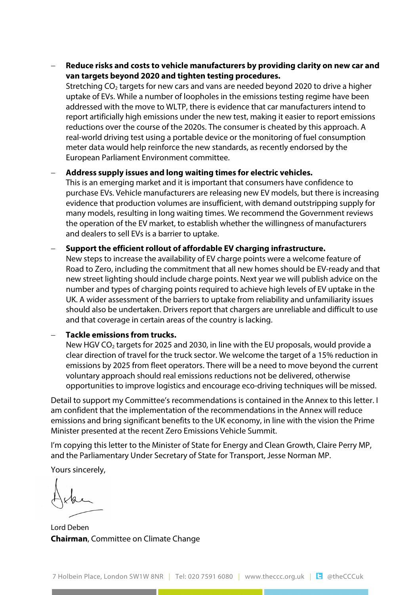− **Reduce risks and costs to vehicle manufacturers by providing clarity on new car and van targets beyond 2020 and tighten testing procedures.** 

Stretching  $CO<sub>2</sub>$  targets for new cars and vans are needed beyond 2020 to drive a higher uptake of EVs. While a number of loopholes in the emissions testing regime have been addressed with the move to WLTP, there is evidence that car manufacturers intend to report artificially high emissions under the new test, making it easier to report emissions reductions over the course of the 2020s. The consumer is cheated by this approach. A real-world driving test using a portable device or the monitoring of fuel consumption meter data would help reinforce the new standards, as recently endorsed by the European Parliament Environment committee.

− **Address supply issues and long waiting times for electric vehicles.**

This is an emerging market and it is important that consumers have confidence to purchase EVs. Vehicle manufacturers are releasing new EV models, but there is increasing evidence that production volumes are insufficient, with demand outstripping supply for many models, resulting in long waiting times. We recommend the Government reviews the operation of the EV market, to establish whether the willingness of manufacturers and dealers to sell EVs is a barrier to uptake.

#### − **Support the efficient rollout of affordable EV charging infrastructure.**

New steps to increase the availability of EV charge points were a welcome feature of Road to Zero, including the commitment that all new homes should be EV-ready and that new street lighting should include charge points. Next year we will publish advice on the number and types of charging points required to achieve high levels of EV uptake in the UK. A wider assessment of the barriers to uptake from reliability and unfamiliarity issues should also be undertaken. Drivers report that chargers are unreliable and difficult to use and that coverage in certain areas of the country is lacking.

#### − **Tackle emissions from trucks.**

New HGV CO<sub>2</sub> targets for 2025 and 2030, in line with the EU proposals, would provide a clear direction of travel for the truck sector. We welcome the target of a 15% reduction in emissions by 2025 from fleet operators. There will be a need to move beyond the current voluntary approach should real emissions reductions not be delivered, otherwise opportunities to improve logistics and encourage eco-driving techniques will be missed.

Detail to support my Committee's recommendations is contained in the Annex to this letter. I am confident that the implementation of the recommendations in the Annex will reduce emissions and bring significant benefits to the UK economy, in line with the vision the Prime Minister presented at the recent Zero Emissions Vehicle Summit.

I'm copying this letter to the Minister of State for Energy and Clean Growth, Claire Perry MP, and the Parliamentary Under Secretary of State for Transport, Jesse Norman MP.

Yours sincerely,

Lord Deben **Chairman**, Committee on Climate Change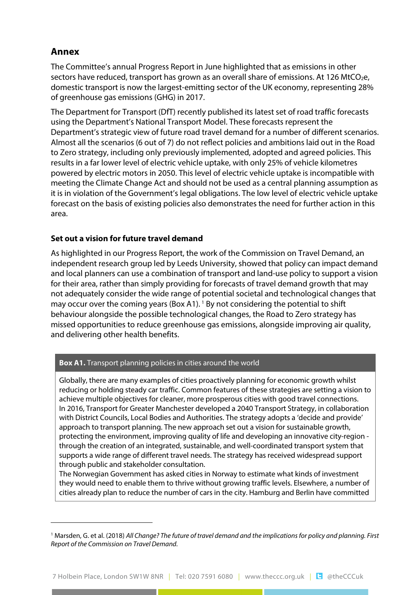# **Annex**

The Committee's annual Progress Report in June highlighted that as emissions in other sectors have reduced, transport has grown as an overall share of emissions. At 126 MtCO<sub>2</sub>e, domestic transport is now the largest-emitting sector of the UK economy, representing 28% of greenhouse gas emissions (GHG) in 2017.

The Department for Transport (DfT) recently published its latest set of road traffic forecasts using the Department's National Transport Model. These forecasts represent the Department's strategic view of future road travel demand for a number of different scenarios. Almost all the scenarios (6 out of 7) do not reflect policies and ambitions laid out in the Road to Zero strategy, including only previously implemented, adopted and agreed policies. This results in a far lower level of electric vehicle uptake, with only 25% of vehicle kilometres powered by electric motors in 2050. This level of electric vehicle uptake is incompatible with meeting the Climate Change Act and should not be used as a central planning assumption as it is in violation of the Government's legal obligations. The low level of electric vehicle uptake forecast on the basis of existing policies also demonstrates the need for further action in this area.

### **Set out a vision for future travel demand**

As highlighted in our Progress Report, the work of the Commission on Travel Demand, an independent research group led by Leeds University, showed that policy can impact demand and local planners can use a combination of transport and land-use policy to support a vision for their area, rather than simply providing for forecasts of travel demand growth that may not adequately consider the wide range of potential societal and technological changes that may occur over the coming years (Box A[1](#page-2-0)). <sup>1</sup> By not considering the potential to shift behaviour alongside the possible technological changes, the Road to Zero strategy has missed opportunities to reduce greenhouse gas emissions, alongside improving air quality, and delivering other health benefits.

#### **Box A1.** Transport planning policies in cities around the world

Globally, there are many examples of cities proactively planning for economic growth whilst reducing or holding steady car traffic. Common features of these strategies are setting a vision to achieve multiple objectives for cleaner, more prosperous cities with good travel connections. In 2016, Transport for Greater Manchester developed a 2040 Transport Strategy, in collaboration with District Councils, Local Bodies and Authorities. The strategy adopts a 'decide and provide' approach to transport planning. The new approach set out a vision for sustainable growth, protecting the environment, improving quality of life and developing an innovative city-region through the creation of an integrated, sustainable, and well-coordinated transport system that supports a wide range of different travel needs. The strategy has received widespread support through public and stakeholder consultation.

The Norwegian Government has asked cities in Norway to estimate what kinds of investment they would need to enable them to thrive without growing traffic levels. Elsewhere, a number of cities already plan to reduce the number of cars in the city. Hamburg and Berlin have committed

<span id="page-2-0"></span><sup>1</sup> Marsden, G. et al. (2018) *All Change? The future of travel demand and the implications for policy and planning. First Report of the Commission on Travel Demand.*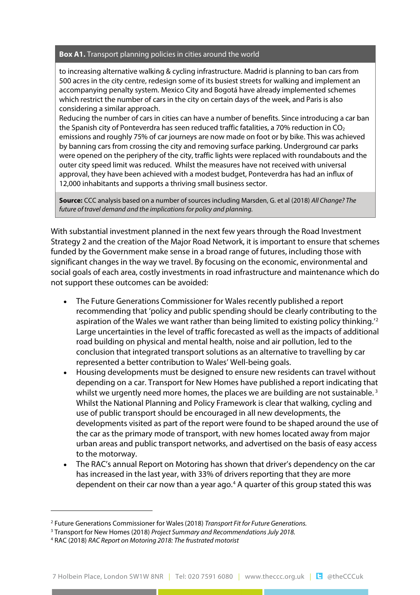#### **Box A1.** Transport planning policies in cities around the world

to increasing alternative walking & cycling infrastructure. Madrid is planning to ban cars from 500 acres in the city centre, redesign some of its busiest streets for walking and implement an accompanying penalty system. Mexico City and Bogotá have already implemented schemes which restrict the number of cars in the city on certain days of the week, and Paris is also considering a similar approach.

Reducing the number of cars in cities can have a number of benefits. Since introducing a car ban the Spanish city of Ponteverdra has seen reduced traffic fatalities, a 70% reduction in  $CO<sub>2</sub>$ emissions and roughly 75% of car journeys are now made on foot or by bike. This was achieved by banning cars from crossing the city and removing surface parking. Underground car parks were opened on the periphery of the city, traffic lights were replaced with roundabouts and the outer city speed limit was reduced. Whilst the measures have not received with universal approval, they have been achieved with a modest budget, Ponteverdra has had an influx of 12,000 inhabitants and supports a thriving small business sector.

**Source:** CCC analysis based on a number of sources including Marsden, G. et al (2018) *All Change? The future of travel demand and the implications for policy and planning.*

With substantial investment planned in the next few years through the Road Investment Strategy 2 and the creation of the Major Road Network, it is important to ensure that schemes funded by the Government make sense in a broad range of futures, including those with significant changes in the way we travel. By focusing on the economic, environmental and social goals of each area, costly investments in road infrastructure and maintenance which do not support these outcomes can be avoided:

- The Future Generations Commissioner for Wales recently published a report recommending that 'policy and public spending should be clearly contributing to the aspiration of the Wales we want rather than being limited to existing policy thinking. $'^{\mathfrak{2}}$  $'^{\mathfrak{2}}$  $'^{\mathfrak{2}}$ Large uncertainties in the level of traffic forecasted as well as the impacts of additional road building on physical and mental health, noise and air pollution, led to the conclusion that integrated transport solutions as an alternative to travelling by car represented a better contribution to Wales' Well-being goals.
- Housing developments must be designed to ensure new residents can travel without depending on a car. Transport for New Homes have published a report indicating that whilst we urgently need more homes, the places we are building are not sustainable.<sup>[3](#page-3-1)</sup> Whilst the National Planning and Policy Framework is clear that walking, cycling and use of public transport should be encouraged in all new developments, the developments visited as part of the report were found to be shaped around the use of the car as the primary mode of transport, with new homes located away from major urban areas and public transport networks, and advertised on the basis of easy access to the motorway.
- The RAC's annual Report on Motoring has shown that driver's dependency on the car has increased in the last year, with 33% of drivers reporting that they are more dependent on their car now than a year ago.<sup>[4](#page-3-2)</sup> A quarter of this group stated this was

<span id="page-3-1"></span><span id="page-3-0"></span><sup>2</sup> Future Generations Commissioner for Wales(2018) *Transport Fit for Future Generations.*

<span id="page-3-2"></span><sup>3</sup> Transport for New Homes (2018) *Project Summary and RecommendationsJuly 2018.*

<sup>4</sup> RAC (2018) *RAC Report on Motoring 2018: The frustrated motorist*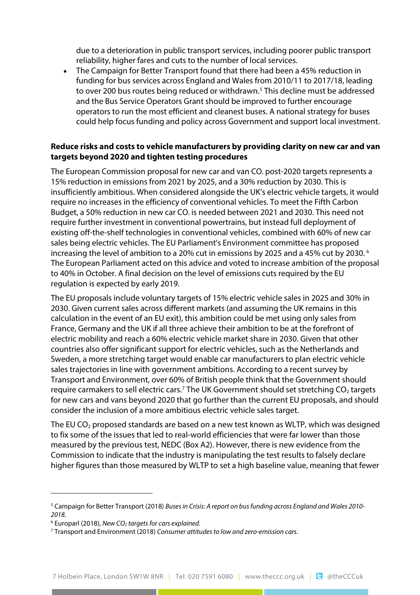due to a deterioration in public transport services, including poorer public transport reliability, higher fares and cuts to the number of local services.

• The Campaign for Better Transport found that there had been a 45% reduction in funding for bus services across England and Wales from 2010/11 to 2017/18, leading to over 200 bus routes being reduced or withdrawn.<sup>[5](#page-4-0)</sup> This decline must be addressed and the Bus Service Operators Grant should be improved to further encourage operators to run the most efficient and cleanest buses. A national strategy for buses could help focus funding and policy across Government and support local investment.

### **Reduce risks and costs to vehicle manufacturers by providing clarity on new car and van targets beyond 2020 and tighten testing procedures**

The European Commission proposal for new car and van  $CO<sub>2</sub>$  post-2020 targets represents a 15% reduction in emissions from 2021 by 2025, and a 30% reduction by 2030. This is insufficiently ambitious. When considered alongside the UK's electric vehicle targets, it would require no increases in the efficiency of conventional vehicles. To meet the Fifth Carbon Budget, a 50% reduction in new car  $CO<sub>2</sub>$  is needed between 2021 and 2030. This need not require further investment in conventional powertrains, but instead full deployment of existing off-the-shelf technologies in conventional vehicles, combined with 60% of new car sales being electric vehicles. The EU Parliament's Environment committee has proposed increasing the level of ambition to a 20% cut in emissions by 2025 and a 45% cut by 2030. [6](#page-4-1) The European Parliament acted on this advice and voted to increase ambition of the proposal to 40% in October. A final decision on the level of emissions cuts required by the EU regulation is expected by early 2019.

The EU proposals include voluntary targets of 15% electric vehicle sales in 2025 and 30% in 2030. Given current sales across different markets (and assuming the UK remains in this calculation in the event of an EU exit), this ambition could be met using only sales from France, Germany and the UK if all three achieve their ambition to be at the forefront of electric mobility and reach a 60% electric vehicle market share in 2030. Given that other countries also offer significant support for electric vehicles, such as the Netherlands and Sweden, a more stretching target would enable car manufacturers to plan electric vehicle sales trajectories in line with government ambitions. According to a recent survey by Transport and Environment, over 60% of British people think that the Government should require carmakers to sell electric cars.<sup>[7](#page-4-2)</sup> The UK Government should set stretching  $CO<sub>2</sub>$  targets for new cars and vans beyond 2020 that go further than the current EU proposals, and should consider the inclusion of a more ambitious electric vehicle sales target.

The EU  $CO<sub>2</sub>$  proposed standards are based on a new test known as WLTP, which was designed to fix some of the issues that led to real-world efficiencies that were far lower than those measured by the previous test, NEDC (Box A2). However, there is new evidence from the Commission to indicate that the industry is manipulating the test results to falsely declare higher figures than those measured by WLTP to set a high baseline value, meaning that fewer

<span id="page-4-1"></span><span id="page-4-0"></span><sup>5</sup> Campaign for Better Transport (2018) *Buses in Crisis: A report on busfunding across England and Wales 2010- 2018.*

<span id="page-4-2"></span><sup>6</sup> Europarl (2018), *New CO2 targets for cars explained.*

<sup>7</sup> Transport and Environment (2018) *Consumer attitudes to low and zero-emission cars.*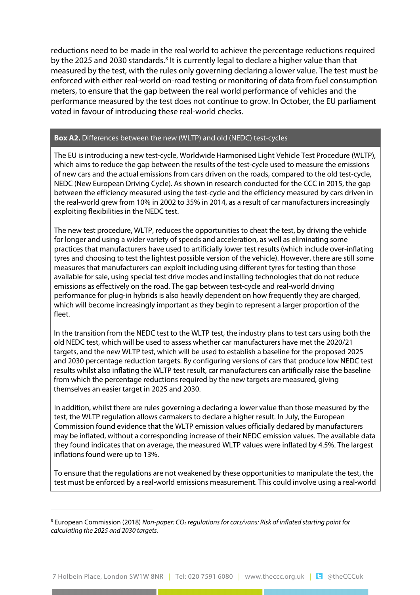reductions need to be made in the real world to achieve the percentage reductions required by the 2025 and 2030 standards.<sup>[8](#page-5-0)</sup> It is currently legal to declare a higher value than that measured by the test, with the rules only governing declaring a lower value. The test must be enforced with either real-world on-road testing or monitoring of data from fuel consumption meters, to ensure that the gap between the real world performance of vehicles and the performance measured by the test does not continue to grow. In October, the EU parliament voted in favour of introducing these real-world checks.

#### **Box A2.** Differences between the new (WLTP) and old (NEDC) test-cycles

The EU is introducing a new test-cycle, Worldwide Harmonised Light Vehicle Test Procedure (WLTP), which aims to reduce the gap between the results of the test-cycle used to measure the emissions of new cars and the actual emissions from cars driven on the roads, compared to the old test-cycle, NEDC (New European Driving Cycle). As shown in research conducted for the CCC in 2015, the gap between the efficiency measured using the test-cycle and the efficiency measured by cars driven in the real-world grew from 10% in 2002 to 35% in 2014, as a result of car manufacturers increasingly exploiting flexibilities in the NEDC test.

The new test procedure, WLTP, reduces the opportunities to cheat the test, by driving the vehicle for longer and using a wider variety of speeds and acceleration, as well as eliminating some practices that manufacturers have used to artificially lower test results (which include over-inflating tyres and choosing to test the lightest possible version of the vehicle). However, there are still some measures that manufacturers can exploit including using different tyres for testing than those available for sale, using special test drive modes and installing technologies that do not reduce emissions as effectively on the road. The gap between test-cycle and real-world driving performance for plug-in hybrids is also heavily dependent on how frequently they are charged, which will become increasingly important as they begin to represent a larger proportion of the fleet.

In the transition from the NEDC test to the WLTP test, the industry plans to test cars using both the old NEDC test, which will be used to assess whether car manufacturers have met the 2020/21 targets, and the new WLTP test, which will be used to establish a baseline for the proposed 2025 and 2030 percentage reduction targets. By configuring versions of cars that produce low NEDC test results whilst also inflating the WLTP test result, car manufacturers can artificially raise the baseline from which the percentage reductions required by the new targets are measured, giving themselves an easier target in 2025 and 2030.

In addition, whilst there are rules governing a declaring a lower value than those measured by the test, the WLTP regulation allows carmakers to declare a higher result. In July, the European Commission found evidence that the WLTP emission values officially declared by manufacturers may be inflated, without a corresponding increase of their NEDC emission values. The available data they found indicates that on average, the measured WLTP values were inflated by 4.5%. The largest inflations found were up to 13%.

To ensure that the regulations are not weakened by these opportunities to manipulate the test, the test must be enforced by a real-world emissions measurement. This could involve using a real-world

<span id="page-5-0"></span><sup>8</sup> European Commission (2018) *Non-paper: CO2 regulations for cars/vans: Risk of inflated starting point for calculating the 2025 and 2030 targets.*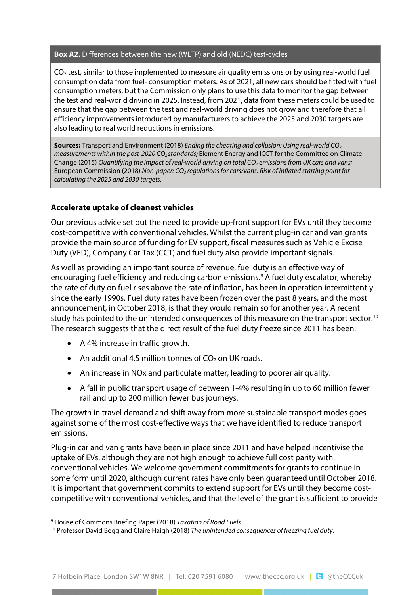#### **Box A2.** Differences between the new (WLTP) and old (NEDC) test-cycles

 $CO<sub>2</sub>$  test, similar to those implemented to measure air quality emissions or by using real-world fuel consumption data from fuel- consumption meters. As of 2021, all new cars should be fitted with fuel consumption meters, but the Commission only plans to use this data to monitor the gap between the test and real-world driving in 2025. Instead, from 2021, data from these meters could be used to ensure that the gap between the test and real-world driving does not grow and therefore that all efficiency improvements introduced by manufacturers to achieve the 2025 and 2030 targets are also leading to real world reductions in emissions.

**Sources:** Transport and Environment (2018) *Ending the cheating and collusion: Using real-world CO2 measurements within the post-2020 CO2 standards;* Element Energy and ICCT for the Committee on Climate Change (2015) *Quantifying the impact of real-world driving on total CO<sub>2</sub> emissions from UK cars and vans;* European Commission (2018) *Non-paper: CO2 regulations for cars/vans: Risk of inflated starting point for calculating the 2025 and 2030 targets.*

### **Accelerate uptake of cleanest vehicles**

Our previous advice set out the need to provide up-front support for EVs until they become cost-competitive with conventional vehicles. Whilst the current plug-in car and van grants provide the main source of funding for EV support, fiscal measures such as Vehicle Excise Duty (VED), Company Car Tax (CCT) and fuel duty also provide important signals.

As well as providing an important source of revenue, fuel duty is an effective way of encouraging fuel efficiency and reducing carbon emissions.[9](#page-6-0) A fuel duty escalator, whereby the rate of duty on fuel rises above the rate of inflation, has been in operation intermittently since the early 1990s. Fuel duty rates have been frozen over the past 8 years, and the most announcement, in October 2018, is that they would remain so for another year. A recent study has pointed to the unintended consequences of this measure on the transport sector.<sup>[10](#page-6-1)</sup> The research suggests that the direct result of the fuel duty freeze since 2011 has been:

- A 4% increase in traffic growth.
- An additional 4.5 million tonnes of  $CO<sub>2</sub>$  on UK roads.
- An increase in NOx and particulate matter, leading to poorer air quality.
- A fall in public transport usage of between 1-4% resulting in up to 60 million fewer rail and up to 200 million fewer bus journeys.

The growth in travel demand and shift away from more sustainable transport modes goes against some of the most cost-effective ways that we have identified to reduce transport emissions.

Plug-in car and van grants have been in place since 2011 and have helped incentivise the uptake of EVs, although they are not high enough to achieve full cost parity with conventional vehicles. We welcome government commitments for grants to continue in some form until 2020, although current rates have only been guaranteed until October 2018. It is important that government commits to extend support for EVs until they become costcompetitive with conventional vehicles, and that the level of the grant is sufficient to provide

<span id="page-6-1"></span><span id="page-6-0"></span><sup>&</sup>lt;sup>9</sup> House of Commons Briefing Paper (2018) Taxation of Road Fuels.<br><sup>10</sup> Professor David Begg and Claire Haigh (2018) The unintended consequences of freezing fuel duty.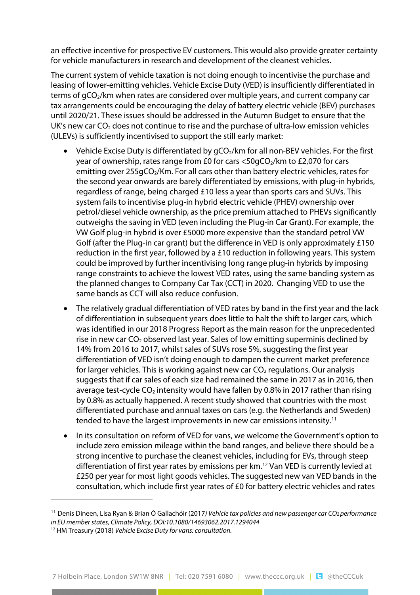an effective incentive for prospective EV customers. This would also provide greater certainty for vehicle manufacturers in research and development of the cleanest vehicles.

The current system of vehicle taxation is not doing enough to incentivise the purchase and leasing of lower-emitting vehicles. Vehicle Excise Duty (VED) is insufficiently differentiated in terms of gCO<sub>2</sub>/km when rates are considered over multiple years, and current company car tax arrangements could be encouraging the delay of battery electric vehicle (BEV) purchases until 2020/21. These issues should be addressed in the Autumn Budget to ensure that the UK's new car  $CO<sub>2</sub>$  does not continue to rise and the purchase of ultra-low emission vehicles (ULEVs) is sufficiently incentivised to support the still early market:

- Vehicle Excise Duty is differentiated by gCO<sub>2</sub>/km for all non-BEV vehicles. For the first year of ownership, rates range from £0 for cars  $\langle$  50gCO<sub>2</sub>/km to £2,070 for cars emitting over 255gCO<sub>2</sub>/Km. For all cars other than battery electric vehicles, rates for the second year onwards are barely differentiated by emissions, with plug-in hybrids, regardless of range, being charged £10 less a year than sports cars and SUVs. This system fails to incentivise plug-in hybrid electric vehicle (PHEV) ownership over petrol/diesel vehicle ownership, as the price premium attached to PHEVs significantly outweighs the saving in VED (even including the Plug-in Car Grant). For example, the VW Golf plug-in hybrid is over £5000 more expensive than the standard petrol VW Golf (after the Plug-in car grant) but the difference in VED is only approximately £150 reduction in the first year, followed by a £10 reduction in following years. This system could be improved by further incentivising long range plug-in hybrids by imposing range constraints to achieve the lowest VED rates, using the same banding system as the planned changes to Company Car Tax (CCT) in 2020. Changing VED to use the same bands as CCT will also reduce confusion.
- The relatively gradual differentiation of VED rates by band in the first year and the lack of differentiation in subsequent years does little to halt the shift to larger cars, which was identified in our 2018 Progress Report as the main reason for the unprecedented rise in new car  $CO<sub>2</sub>$  observed last year. Sales of low emitting superminis declined by 14% from 2016 to 2017, whilst sales of SUVs rose 5%, suggesting the first year differentiation of VED isn't doing enough to dampen the current market preference for larger vehicles. This is working against new car  $CO<sub>2</sub>$  regulations. Our analysis suggests that if car sales of each size had remained the same in 2017 as in 2016, then average test-cycle  $CO<sub>2</sub>$  intensity would have fallen by 0.8% in 2017 rather than rising by 0.8% as actually happened. A recent study showed that countries with the most differentiated purchase and annual taxes on cars (e.g. the Netherlands and Sweden) tended to have the largest improvements in new car emissions intensity.[11](#page-7-0)
- In its consultation on reform of VED for vans, we welcome the Government's option to include zero emission mileage within the band ranges, and believe there should be a strong incentive to purchase the cleanest vehicles, including for EVs, through steep differentiation of first year rates by emissions per km.[12](#page-7-1) Van VED is currently levied at £250 per year for most light goods vehicles. The suggested new van VED bands in the consultation, which include first year rates of £0 for battery electric vehicles and rates

<span id="page-7-0"></span><sup>11</sup> Denis Dineen, Lisa Ryan & Brian Ó Gallachóir (2017*) Vehicle tax policies and new passenger car CO2 performance in EU member states, Climate Policy, DOI:10.1080/14693062.2017.1294044* 

<span id="page-7-1"></span><sup>12</sup> HM Treasury (2018) *Vehicle Excise Duty for vans: consultation.*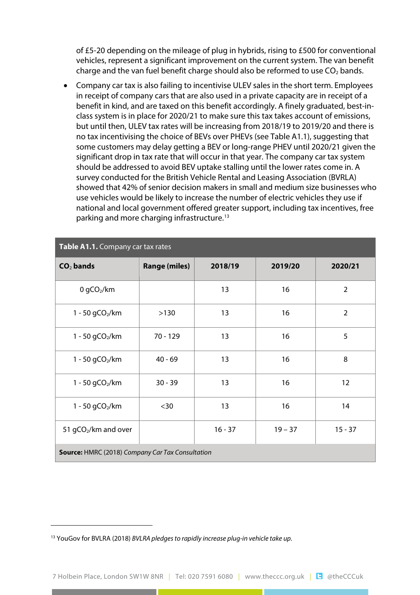of £5-20 depending on the mileage of plug in hybrids, rising to £500 for conventional vehicles, represent a significant improvement on the current system. The van benefit charge and the van fuel benefit charge should also be reformed to use  $CO<sub>2</sub>$  bands.

• Company car tax is also failing to incentivise ULEV sales in the short term. Employees in receipt of company cars that are also used in a private capacity are in receipt of a benefit in kind, and are taxed on this benefit accordingly. A finely graduated, best-inclass system is in place for 2020/21 to make sure this tax takes account of emissions, but until then, ULEV tax rates will be increasing from 2018/19 to 2019/20 and there is no tax incentivising the choice of BEVs over PHEVs (see Table A1.1), suggesting that some customers may delay getting a BEV or long-range PHEV until 2020/21 given the significant drop in tax rate that will occur in that year. The company car tax system should be addressed to avoid BEV uptake stalling until the lower rates come in. A survey conducted for the British Vehicle Rental and Leasing Association (BVRLA) showed that 42% of senior decision makers in small and medium size businesses who use vehicles would be likely to increase the number of electric vehicles they use if national and local government offered greater support, including tax incentives, free parking and more charging infrastructure.[13](#page-8-0)

| Table A1.1. Company car tax rates                       |                      |           |           |                |  |
|---------------------------------------------------------|----------------------|-----------|-----------|----------------|--|
| $CO2$ bands                                             | <b>Range (miles)</b> | 2018/19   | 2019/20   | 2020/21        |  |
| $0$ gCO <sub>2</sub> /km                                |                      | 13        | 16        | $\overline{2}$ |  |
| 1 - 50 gCO <sub>2</sub> /km                             | >130                 | 13        | 16        | $\overline{2}$ |  |
| 1 - 50 $gCO2/km$                                        | $70 - 129$           | 13        | 16        | 5              |  |
| 1 - 50 gCO <sub>2</sub> /km                             | $40 - 69$            | 13        | 16        | 8              |  |
| 1 - 50 gCO <sub>2</sub> /km                             | $30 - 39$            | 13        | 16        | 12             |  |
| 1 - 50 gCO <sub>2</sub> /km                             | $30$                 | 13        | 16        | 14             |  |
| 51 gCO <sub>2</sub> /km and over                        |                      | $16 - 37$ | $19 - 37$ | $15 - 37$      |  |
| <b>Source: HMRC (2018) Company Car Tax Consultation</b> |                      |           |           |                |  |

<span id="page-8-0"></span><sup>13</sup> YouGov for BVLRA (2018) *BVLRA pledgesto rapidly increase plug-in vehicle take up.*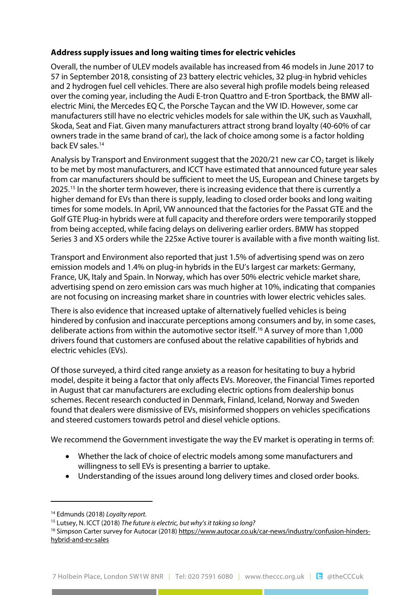# **Address supply issues and long waiting times for electric vehicles**

and 2 hydrogen fuel cell vehicles. There are also several high profile models being released over the coming year, including the Audi E-tron Quattro and E-tron Sportback, the BMW allelectric Mini, [th](#page-9-0)e Mercedes EQ C, the Porsche Taycan and the VW ID. However, some car manufacturers still have no electric vehicles models for sale within the UK, such as Vauxhall, Skoda, Seat and Fiat. Given many manufacturers attract strong brand loyalty (40-60% of car owners trade in the same brand of car), the lack of choice among some is a factor holding back [EV](#page-9-1) sales.14 Overall, the number of ULEV models available has increased from 46 models in June 2017 to 57 in September 2018, consisting of 23 battery electric vehicles, 32 plug-in hybrid vehicles

Analysis by Transport and Environment suggest that the 2020/21 new car  $CO<sub>2</sub>$  target is likely to be met by most manufacturers, and ICCT have estimated that announced future year sales from car manufacturers should be sufficient to meet the US, European and Chinese targets by 2025.15 In the shorter term however, there is increasing evidence that there is currently a higher demand for EVs than there is supply, leading to closed order books and long waiting times for some models. In April, VW announced that the factories for the Passat GTE and the Golf GTE Plug-in hybrids were at full capacity and therefore orders were temporarily stopped from being accepted, while facing delays on delivering earlier orders. BMW has stopped Series 3 and X5 orders while the 225xe Active tourer is available with a five month waiting list.

Transport and Environment also reported that just 1.5% of advertising spend was on zero emission models and 1.4% on plug-in hybrids in the EU's largest car markets: Germany, France, UK, Italy and Spain. In Norway, which has over 50% electric vehicle market share, advertising spend on zero emission cars was much higher at 10%, indicating that companies are not focusing on increasing market share in countries w[ith](#page-9-2) lower electric vehicles sales.

There is also evidence that increased uptake of alternatively fuelled vehicles is being hindered by confusion and inaccurate perceptions among consumers and by, in some cases, deliberate actions from within the automotive sector itself.<sup>16</sup> A survey of more than 1,000 drivers found that customers are confused about the relative capabilities of hybrids and electric vehicles (EVs).

Of those surveyed, a third cited range anxiety as a reason for hesitating to buy a hybrid model, despite it being a factor that only affects EVs. Moreover, the Financial Times reported in August that car manufacturers are excluding electric options from dealership bonus schemes. Recent research conducted in Denmark, Finland, Iceland, Norway and Sweden found that dealers were dismissive of EVs, misinformed shoppers on vehicles specifications and steered customers towards petrol and diesel vehicle options.

We recommend the Government investigate the way the EV market is operating in terms of:

- Whether the lack of choice of electric models among some manufacturers and willingness to sell EVs is presenting a barrier to uptake.
- Understanding of the issues around long delivery times and closed order books.

<span id="page-9-1"></span><span id="page-9-0"></span><sup>14</sup> Edmunds (2018) *Loyalty report.*

<span id="page-9-2"></span><sup>15</sup> Lutsey, N. ICCT (2018) *The future is electric, but [why's it taking so](https://www.autocar.co.uk/car-news/industry/confusion-hinders-hybrid-and-ev-sales) long?*

<sup>16</sup> [Simpson](https://www.autocar.co.uk/car-news/industry/confusion-hinders-hybrid-and-ev-sales) Carter survey for Autocar (2018) https://www.autocar.co.uk/car-news/industry/confusion-hindershybrid-and-ev-sales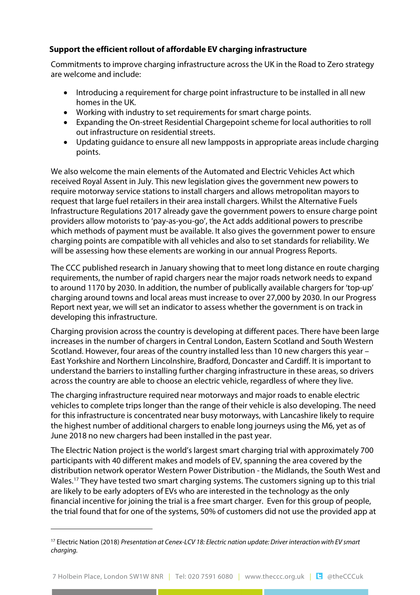# **Support the efficient rollout of affordable EV charging infrastructure**

Commitments to improve charging infrastructure across the UK in the Road to Zero strategy are welcome and include:

- Introducing a requirement for charge point infrastructure to be installed in all new homes in the UK.
- Working with industry to set requirements for smart charge points.
- Expanding the On-street Residential Chargepoint scheme for local authorities to roll out infrastructure on residential streets.
- Updating guidance to ensure all new lampposts in appropriate areas include charging points.

We also welcome the main elements of the Automated and Electric Vehicles Act which received Royal Assent in July. This new legislation gives the government new powers to require motorway service stations to install chargers and allows metropolitan mayors to request that large fuel retailers in their area install chargers. Whilst the Alternative Fuels Infrastructure Regulations 2017 already gave the government powers to ensure charge point providers allow motorists to 'pay-as-you-go', the Act adds additional powers to prescribe which methods of payment must be available. It also gives the government power to ensure charging points are compatible with all vehicles and also to set standards for reliability. We will be assessing how these elements are working in our annual Progress Reports.

The CCC published research in January showing that to meet long distance en route charging requirements, the number of rapid chargers near the major roads network needs to expand to around 1170 by 2030. In addition, the number of publically available chargers for 'top-up' charging around towns and local areas must increase to over 27,000 by 2030. In our Progress Report next year, we will set an indicator to assess whether the government is on track in developing this infrastructure.

Charging provision across the country is developing at different paces. There have been large increases in the number of chargers in Central London, Eastern Scotland and South Western Scotland. However, four areas of the country installed less than 10 new chargers this year – East Yorkshire and Northern Lincolnshire, Bradford, Doncaster and Cardiff. It is important to understand the barriers to installing further charging infrastructure in these areas, so drivers across the country are able to choose an electric vehicle, regardless of where they live.

The charging infrastructure required near motorways and major roads to enable electric vehicles to complete trips longer than the range of their vehicle is also developing. The need for this infrastructure is concentrated near busy motorways, with Lancashire likely to require the highest number of additional chargers to enable long journeys using the M6, yet as of June 2018 no new chargers had been installed in the past year.

The Electric Nation project is the world's largest smart charging trial with approximately 700 partici[pa](#page-10-0)nts with 40 different makes and models of EV, spanning the area covered by the distribution network operator Western Power Distribution - the Midlands, the South West and Wales.<sup>17</sup> They have tested two smart charging systems. The customers signing up to this trial are likely to be early adopters of EVs who are interested in the technology as the only financial incentive for joining the trial is a free smart charger. Even for this group of people, the trial found that for one of the systems, 50% of customers did not use the provided app at

<span id="page-10-0"></span><sup>17</sup> Electric Nation (2018) *Presentation at Cenex-LCV 18: Electric nation update: Driver interaction with EV smart charging.*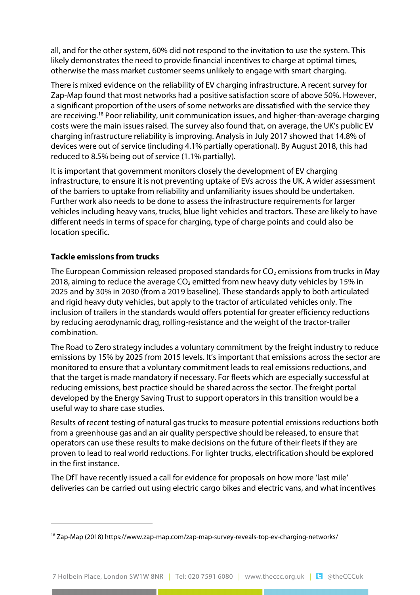all, and for the other system, 60% did not respond to the invitation to use the system. This likely demonstrates the need to provide financial incentives to charge at optimal times, otherwise the mass market customer seems unlikely to engage with smart charging.

There is mixed evidence on the reliability of EV charging infrastructure. A recent survey for Zap-Map found that most networks had a positive satisfaction score of above 50%. However, a significant proportion of the users of some networks are dissatisfied with the service they are receiving.[18](#page-11-0) Poor reliability, unit communication issues, and higher-than-average charging costs were the main issues raised. The survey also found that, on average, the UK's public EV charging infrastructure reliability is improving. Analysis in July 2017 showed that 14.8% of devices were out of service (including 4.1% partially operational). By August 2018, this had reduced to 8.5% being out of service (1.1% partially).

It is important that government monitors closely the development of EV charging infrastructure, to ensure it is not preventing uptake of EVs across the UK. A wider assessment of the barriers to uptake from reliability and unfamiliarity issues should be undertaken. Further work also needs to be done to assess the infrastructure requirements for larger vehicles including heavy vans, trucks, blue light vehicles and tractors. These are likely to have different needs in terms of space for charging, type of charge points and could also be location specific.

# **Tackle emissions from trucks**

The European Commission released proposed standards for  $CO<sub>2</sub>$  emissions from trucks in May 2018, aiming to reduce the average  $CO<sub>2</sub>$  emitted from new heavy duty vehicles by 15% in 2025 and by 30% in 2030 (from a 2019 baseline). These standards apply to both articulated and rigid heavy duty vehicles, but apply to the tractor of articulated vehicles only. The inclusion of trailers in the standards would offers potential for greater efficiency reductions by reducing aerodynamic drag, rolling-resistance and the weight of the tractor-trailer combination.

The Road to Zero strategy includes a voluntary commitment by the freight industry to reduce emissions by 15% by 2025 from 2015 levels. It's important that emissions across the sector are monitored to ensure that a voluntary commitment leads to real emissions reductions, and that the target is made mandatory if necessary. For fleets which are especially successful at reducing emissions, best practice should be shared across the sector. The freight portal developed by the Energy Saving Trust to support operators in this transition would be a useful way to share case studies.

Results of recent testing of natural gas trucks to measure potential emissions reductions both from a greenhouse gas and an air quality perspective should be released, to ensure that operators can use these results to make decisions on the future of their fleets if they are proven to lead to real world reductions. For lighter trucks, electrification should be explored in the first instance.

The DfT have recently issued a call for evidence for proposals on how more 'last mile' deliveries can be carried out using electric cargo bikes and electric vans, and what incentives

<span id="page-11-0"></span><sup>18</sup> Zap-Map (2018) https://www.zap-map.com/zap-map-survey-reveals-top-ev-charging-networks/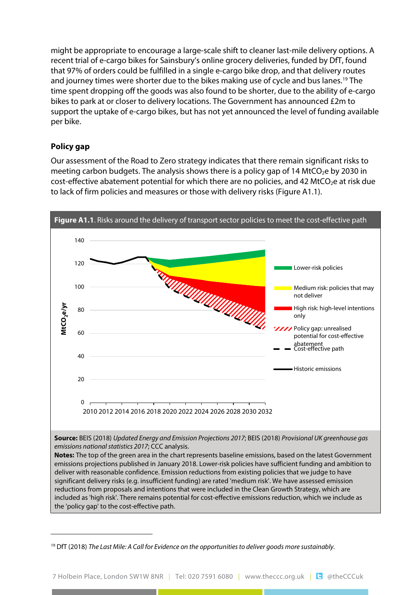might be appropriate to encourage a large-scale shift to cleaner last-mile delivery options. A recent trial of e-cargo bikes for Sainsbury's online grocery deliveries, funded by DfT, found that 97% of orders could be fulfilled in a single e-cargo bike drop, and that delivery routes and journey times were shorter due to the bikes making use of cycle and bus lanes.<sup>19</sup> The time spent dropping off the goods was also found to be shorter, due to the ability of e-cargo bikes to park at or closer to delivery locations. The Government has announced £2m to support the uptake of e-cargo bikes, but has not yet announced the level of funding available per bike.

### **Policy gap**

Our assessment of the Road to Zero strategy indicates that there remain significant risks to meeting carbon budgets. The analysis shows there is a policy gap of 14 MtCO<sub>2</sub>e by 2030 in cost-effective abatement potential for which there are no policies, and 42 MtCO<sub>2</sub>e at risk due to lack of firm policies and measures or those with delivery risks (Figure A1.1).



<span id="page-12-0"></span><sup>19</sup> DfT (2018) *The Last Mile: A Call for Evidence on the opportunities to deliver goods more sustainably.*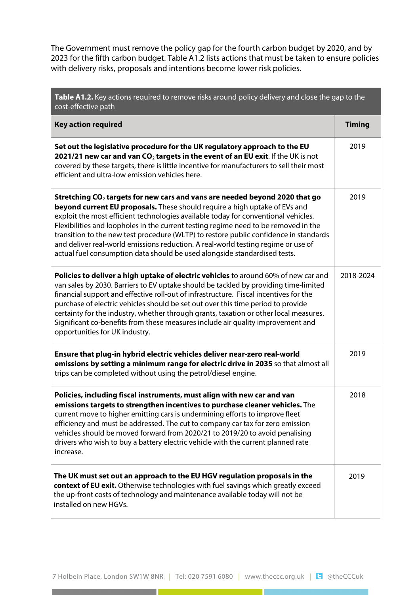The Government must remove the policy gap for the fourth carbon budget by 2020, and by 2023 for the fifth carbon budget. Table A1.2 lists actions that must be taken to ensure policies with delivery risks, proposals and intentions become lower risk policies.

| Table A1.2. Key actions required to remove risks around policy delivery and close the gap to the<br>cost-effective path                                                                                                                                                                                                                                                                                                                                                                                                                                                                             |               |  |  |
|-----------------------------------------------------------------------------------------------------------------------------------------------------------------------------------------------------------------------------------------------------------------------------------------------------------------------------------------------------------------------------------------------------------------------------------------------------------------------------------------------------------------------------------------------------------------------------------------------------|---------------|--|--|
| <b>Key action required</b>                                                                                                                                                                                                                                                                                                                                                                                                                                                                                                                                                                          | <b>Timing</b> |  |  |
| Set out the legislative procedure for the UK regulatory approach to the EU<br>2021/21 new car and van $CO2$ targets in the event of an EU exit. If the UK is not<br>covered by these targets, there is little incentive for manufacturers to sell their most<br>efficient and ultra-low emission vehicles here.                                                                                                                                                                                                                                                                                     | 2019          |  |  |
| Stretching $CO2$ targets for new cars and vans are needed beyond 2020 that go<br>beyond current EU proposals. These should require a high uptake of EVs and<br>exploit the most efficient technologies available today for conventional vehicles.<br>Flexibilities and loopholes in the current testing regime need to be removed in the<br>transition to the new test procedure (WLTP) to restore public confidence in standards<br>and deliver real-world emissions reduction. A real-world testing regime or use of<br>actual fuel consumption data should be used alongside standardised tests. | 2019          |  |  |
| Policies to deliver a high uptake of electric vehicles to around 60% of new car and<br>van sales by 2030. Barriers to EV uptake should be tackled by providing time-limited<br>financial support and effective roll-out of infrastructure. Fiscal incentives for the<br>purchase of electric vehicles should be set out over this time period to provide<br>certainty for the industry, whether through grants, taxation or other local measures.<br>Significant co-benefits from these measures include air quality improvement and<br>opportunities for UK industry.                              | 2018-2024     |  |  |
| Ensure that plug-in hybrid electric vehicles deliver near-zero real-world<br>emissions by setting a minimum range for electric drive in 2035 so that almost all<br>trips can be completed without using the petrol/diesel engine.                                                                                                                                                                                                                                                                                                                                                                   | 2019          |  |  |
| Policies, including fiscal instruments, must align with new car and van<br>emissions targets to strengthen incentives to purchase cleaner vehicles. The<br>current move to higher emitting cars is undermining efforts to improve fleet<br>efficiency and must be addressed. The cut to company car tax for zero emission<br>vehicles should be moved forward from 2020/21 to 2019/20 to avoid penalising<br>drivers who wish to buy a battery electric vehicle with the current planned rate<br>increase.                                                                                          | 2018          |  |  |
| The UK must set out an approach to the EU HGV regulation proposals in the<br>context of EU exit. Otherwise technologies with fuel savings which greatly exceed<br>the up-front costs of technology and maintenance available today will not be<br>installed on new HGVs.                                                                                                                                                                                                                                                                                                                            | 2019          |  |  |